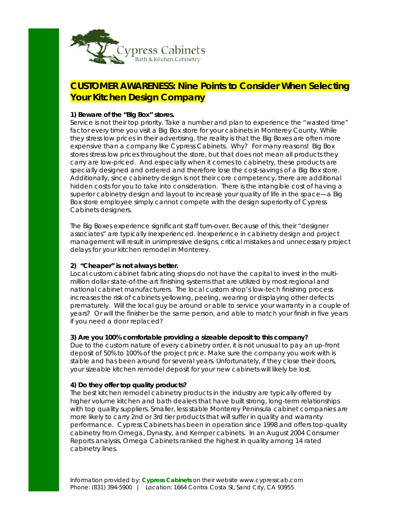

# **CUSTOMER AWARENESS: Nine Points to Consider When Selecting Your Kitchen Design Company**

# **1) Beware of the "Big Box" stores.**

Service is not their top priority. Take a number and plan to experience the "wasted time" factor every time you visit a Big Box store for your cabinets in Monterey County. While they stress low prices in their advertising, the reality is that the Big Boxes are often more expensive than a company like Cypress Cabinets. Why? For many reasons! Big Box stores stress low prices throughout the store, but that does not mean all products they carry are low-priced. And especially when it comes to cabinetry, these products are specially designed and ordered and therefore lose the cost-savings of a Big Box store. Additionally, since cabinetry design is not their core competency, there are additional hidden costs for you to take into consideration. There is the intangible cost of having a superior cabinetry design and layout to increase your quality of life in the space—a Big Box store employee simply cannot compete with the design superiority of Cypress Cabinets designers.

The Big Boxes experience significant staff turn-over. Because of this, their "designer associates" are typically inexperienced. Inexperience in cabinetry design and project management will result in unimpressive designs, critical mistakes and unnecessary project delays for your kitchen remodel in Monterey.

# **2) "Cheaper" is not always better.**

Local custom cabinet fabricating shops do not have the capital to invest in the multimillion dollar state-of-the-art finishing systems that are utilized by most regional and national cabinet manufacturers. The local custom shop's low-tech finishing process increases the risk of cabinets yellowing, peeling, wearing or displaying other defects prematurely. Will the local guy be around or able to service your warranty in a couple of years? Or will the finisher be the same person, and able to match your finish in five years if you need a door replaced?

# **3) Are you 100% comfortable providing a sizeable deposit to this company?**

Due to the custom nature of every cabinetry order, it is not unusual to pay an up-front deposit of 50% to 100% of the project price. Make sure the company you work with is stable and has been around for several years. Unfortunately, if they close their doors, your sizeable kitchen remodel deposit for your new cabinets will likely be lost.

# **4) Do they offer top quality products?**

The best kitchen remodel cabinetry products in the industry are typically offered by higher volume kitchen and bath dealers that have built strong, long-term relationships with top quality suppliers. Smaller, less stable Monterey Peninsula cabinet companies are more likely to carry 2nd or 3rd tier products that will suffer in quality and warranty performance. Cypress Cabinets has been in operation since 1998 and offers top-quality cabinetry from Omega, Dynasty, and Kemper cabinets. In an August 2004 Consumer Reports analysis, Omega Cabinets ranked the highest in quality among 14 rated cabinetry lines.